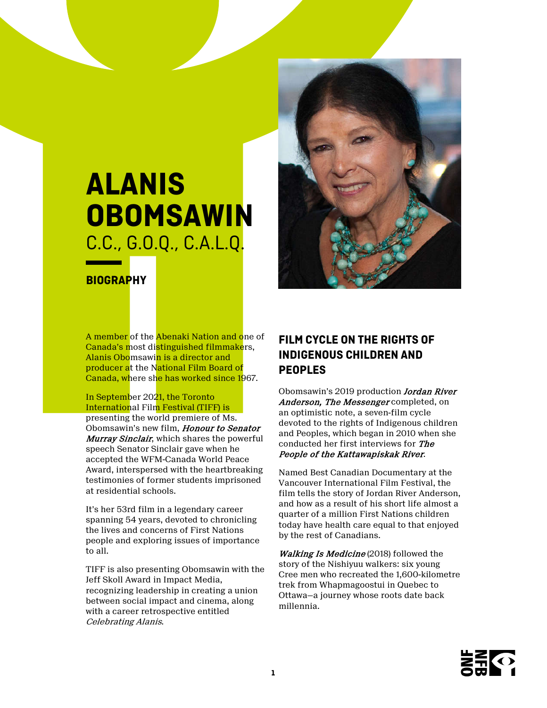

# **ALANIS OBOMSAWIN** C.C., G.O.Q., C.A.L.Q.

**BIOGRAPHY**

A member of the Abenaki Nation and one of Canada's most distinguished filmmakers, Alanis Obomsawin is a director and producer at the National Film Board of Canada, where she has worked since 1967.

In September 2021, the Toronto International Film Festival (TIFF) is presenting the world premiere of Ms. Obomsawin's new film, Honour to Senator Murray Sinclair, which shares the powerful speech Senator Sinclair gave when he accepted the WFM-Canada World Peace Award, interspersed with the heartbreaking testimonies of former students imprisoned at residential schools.

It's her 53rd film in a legendary career spanning 54 years, devoted to chronicling the lives and concerns of First Nations people and exploring issues of importance to all.

TIFF is also presenting Obomsawin with the Jeff Skoll Award in Impact Media, recognizing leadership in creating a union between social impact and cinema, along with a career retrospective entitled Celebrating Alanis.

# **FILM CYCLE ON THE RIGHTS OF INDIGENOUS CHILDREN AND PEOPLES**

Obomsawin's 2019 production **Jordan River** Anderson, The Messenger completed, on an optimistic note, a seven-film cycle devoted to the rights of Indigenous children and Peoples, which began in 2010 when she conducted her first interviews for The People of the Kattawapiskak River.

Named Best Canadian Documentary at the Vancouver International Film Festival, the film tells the story of Jordan River Anderson, and how as a result of his short life almost a quarter of a million First Nations children today have health care equal to that enjoyed by the rest of Canadians.

Walking Is Medicine (2018) followed the story of the Nishiyuu walkers: six young Cree men who recreated the 1,600-kilometre trek from Whapmagoostui in Quebec to Ottawa—a journey whose roots date back millennia.

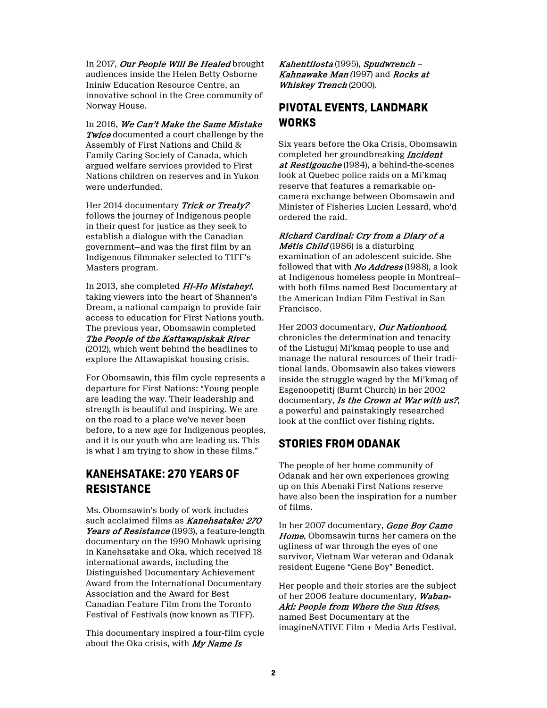In 2017, Our People Will Be Healed brought audiences inside the Helen Betty Osborne Ininiw Education Resource Centre, an innovative school in the Cree community of Norway House.

In 2016, We Can't Make the Same Mistake **Twice** documented a court challenge by the Assembly of First Nations and Child & Family Caring Society of Canada, which argued welfare services provided to First Nations children on reserves and in Yukon were underfunded.

Her 2014 documentary Trick or Treaty? follows the journey of Indigenous people in their quest for justice as they seek to establish a dialogue with the Canadian government—and was the first film by an Indigenous filmmaker selected to TIFF's Masters program.

In 2013, she completed Hi-Ho Mistahey!, taking viewers into the heart of Shannen's Dream, a national campaign to provide fair access to education for First Nations youth. The previous year, Obomsawin completed The People of the Kattawapiskak River (2012), which went behind the headlines to explore the Attawapiskat housing crisis.

For Obomsawin, this film cycle represents a departure for First Nations: "Young people are leading the way. Their leadership and strength is beautiful and inspiring. We are on the road to a place we've never been before, to a new age for Indigenous peoples, and it is our youth who are leading us. This is what I am trying to show in these films."

### **KANEHSATAKE: 270 YEARS OF RESISTANCE**

Ms. Obomsawin's body of work includes such acclaimed films as **Kanehsatake: 270** Years of Resistance (1993), a feature-length documentary on the 1990 Mohawk uprising in Kanehsatake and Oka, which received 18 international awards, including the Distinguished Documentary Achievement Award from the International Documentary Association and the Award for Best Canadian Feature Film from the Toronto Festival of Festivals (now known as TIFF).

This documentary inspired a four-film cycle about the Oka crisis, with My Name Is

Kahentiiosta (1995), Spudwrench – Kahnawake Man *(*1997) and Rocks at Whiskey Trench (2000).

# **PIVOTAL EVENTS, LANDMARK WORKS**

Six years before the Oka Crisis, Obomsawin completed her groundbreaking Incident at Restigouche (1984), a behind-the-scenes look at Quebec police raids on a Mi'kmaq reserve that features a remarkable oncamera exchange between Obomsawin and Minister of Fisheries Lucien Lessard, who'd ordered the raid.

Richard Cardinal: Cry from a Diary of a Métis Child (1986) is a disturbing examination of an adolescent suicide. She

followed that with *No Address* (1988), a look at Indigenous homeless people in Montreal with both films named Best Documentary at the American Indian Film Festival in San Francisco.

Her 2003 documentary, Our Nationhood*,* chronicles the determination and tenacity of the Listuguj Mi'kmaq people to use and manage the natural resources of their traditional lands. Obomsawin also takes viewers inside the struggle waged by the Mi'kmaq of Esgenoopetitj (Burnt Church) in her 2002 documentary, Is the Crown at War with us?, a powerful and painstakingly researched look at the conflict over fishing rights.

### **STORIES FROM ODANAK**

The people of her home community of Odanak and her own experiences growing up on this Abenaki First Nations reserve have also been the inspiration for a number of films.

In her 2007 documentary, Gene Boy Came Home, Obomsawin turns her camera on the ugliness of war through the eyes of one survivor, Vietnam War veteran and Odanak resident Eugene "Gene Boy" Benedict.

Her people and their stories are the subject of her 2006 feature documentary, Waban-Aki: People from Where the Sun Rises, named Best Documentary at the imagineNATIVE Film + Media Arts Festival.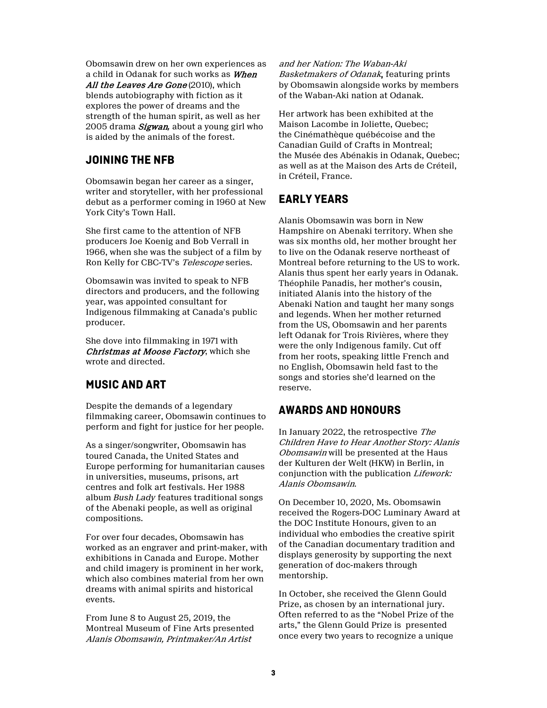Obomsawin drew on her own experiences as a child in Odanak for such works as When All the Leaves Are Gone (2010), which blends autobiography with fiction as it explores the power of dreams and the strength of the human spirit, as well as her 2005 drama Sigwan*,* about a young girl who is aided by the animals of the forest.

### **JOINING THE NFB**

Obomsawin began her career as a singer, writer and storyteller, with her professional debut as a performer coming in 1960 at New York City's Town Hall.

She first came to the attention of NFB producers Joe Koenig and Bob Verrall in 1966, when she was the subject of a film by Ron Kelly for CBC-TV's Telescope series.

Obomsawin was invited to speak to NFB directors and producers, and the following year, was appointed consultant for Indigenous filmmaking at Canada's public producer.

She dove into filmmaking in 1971 with Christmas at Moose Factory, which she wrote and directed.

# **MUSIC AND ART**

Despite the demands of a legendary filmmaking career, Obomsawin continues to perform and fight for justice for her people.

As a singer/songwriter, Obomsawin has toured Canada, the United States and Europe performing for humanitarian causes in universities, museums, prisons, art centres and folk art festivals. Her 1988 album *Bush Lady* features traditional songs of the Abenaki people, as well as original compositions.

For over four decades, Obomsawin has worked as an engraver and print-maker, with exhibitions in Canada and Europe. Mother and child imagery is prominent in her work, which also combines material from her own dreams with animal spirits and historical events.

From June 8 to August 25, 2019, the Montreal Museum of Fine Arts presented Alanis Obomsawin, Printmaker/An Artist

and her Nation: The Waban-Aki Basketmakers of Odanak, featuring prints by Obomsawin alongside works by members of the Waban-Aki nation at Odanak.

Her artwork has been exhibited at the Maison Lacombe in Joliette, Quebec; the Cinémathèque québécoise and the Canadian Guild of Crafts in Montreal; the Musée des Abénakis in Odanak, Quebec; as well as at the Maison des Arts de Créteil, in Créteil, France.

# **EARLY YEARS**

Alanis Obomsawin was born in New Hampshire on Abenaki territory. When she was six months old, her mother brought her to live on the Odanak reserve northeast of Montreal before returning to the US to work. Alanis thus spent her early years in Odanak. Théophile Panadis, her mother's cousin, initiated Alanis into the history of the Abenaki Nation and taught her many songs and legends. When her mother returned from the US, Obomsawin and her parents left Odanak for Trois Rivières, where they were the only Indigenous family. Cut off from her roots, speaking little French and no English, Obomsawin held fast to the songs and stories she'd learned on the reserve.

### **AWARDS AND HONOURS**

In January 2022, the retrospective The Children Have to Hear Another Story: Alanis Obomsawin will be presented at the Haus der Kulturen der Welt (HKW) in Berlin, in conjunction with the publication Lifework: Alanis Obomsawin.

On December 10, 2020, Ms. Obomsawin received the Rogers-DOC Luminary Award at the DOC Institute Honours, given to an individual who embodies the creative spirit of the Canadian documentary tradition and displays generosity by supporting the next generation of doc-makers through mentorship.

In October, she received the Glenn Gould Prize, as chosen by an international jury. Often referred to as the "Nobel Prize of the arts," the Glenn Gould Prize is presented once every two years to recognize a unique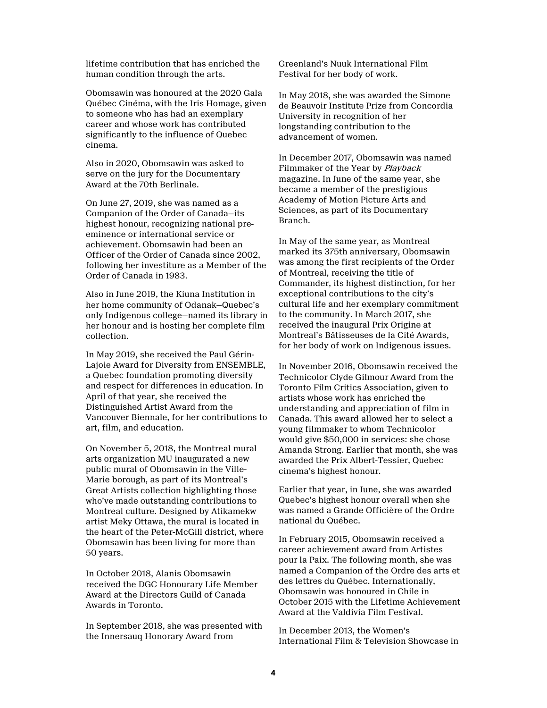lifetime contribution that has enriched the human condition through the arts.

Obomsawin was honoured at the 2020 Gala Québec Cinéma, with the Iris Homage, given to someone who has had an exemplary career and whose work has contributed significantly to the influence of Quebec cinema.

Also in 2020, Obomsawin was asked to serve on the jury for the Documentary Award at the 70th Berlinale.

On June 27, 2019, she was named as a Companion of the Order of Canada—its highest honour, recognizing national preeminence or international service or achievement. Obomsawin had been an Officer of the Order of Canada since 2002, following her investiture as a Member of the Order of Canada in 1983.

Also in June 2019, the Kiuna Institution in her home community of Odanak—Quebec's only Indigenous college—named its library in her honour and is hosting her complete film collection.

In May 2019, she received the Paul Gérin-Lajoie Award for Diversity from ENSEMBLE, a Quebec foundation promoting diversity and respect for differences in education. In April of that year, she received the Distinguished Artist Award from the Vancouver Biennale, for her contributions to art, film, and education.

On November 5, 2018, the Montreal mural arts organization MU inaugurated a new public mural of Obomsawin in the Ville-Marie borough, as part of its Montreal's Great Artists collection highlighting those who've made outstanding contributions to Montreal culture. Designed by Atikamekw artist Meky Ottawa, the mural is located in the heart of the Peter-McGill district, where Obomsawin has been living for more than 50 years.

In October 2018, Alanis Obomsawin received the DGC Honourary Life Member Award at the Directors Guild of Canada Awards in Toronto.

In September 2018, she was presented with the Innersauq Honorary Award from

Greenland's Nuuk International Film Festival for her body of work.

In May 2018, she was awarded the Simone de Beauvoir Institute Prize from Concordia University in recognition of her longstanding contribution to the advancement of women.

In December 2017, Obomsawin was named Filmmaker of the Year by Playback magazine. In June of the same year, she became a member of the prestigious Academy of Motion Picture Arts and Sciences, as part of its Documentary Branch.

In May of the same year, as Montreal marked its 375th anniversary, Obomsawin was among the first recipients of the Order of Montreal, receiving the title of Commander, its highest distinction, for her exceptional contributions to the city's cultural life and her exemplary commitment to the community. In March 2017, she received the inaugural Prix Origine at Montreal's Bâtisseuses de la Cité Awards, for her body of work on Indigenous issues.

In November 2016, Obomsawin received the Technicolor Clyde Gilmour Award from the Toronto Film Critics Association, given to artists whose work has enriched the understanding and appreciation of film in Canada. This award allowed her to select a young filmmaker to whom Technicolor would give \$50,000 in services: she chose Amanda Strong. Earlier that month, she was awarded the Prix Albert-Tessier, Quebec cinema's highest honour.

Earlier that year, in June, she was awarded Quebec's highest honour overall when she was named a Grande Officière of the Ordre national du Québec.

In February 2015, Obomsawin received a career achievement award from Artistes pour la Paix. The following month, she was named a Companion of the Ordre des arts et des lettres du Québec. Internationally, Obomsawin was honoured in Chile in October 2015 with the Lifetime Achievement Award at the Valdivia Film Festival.

In December 2013, the Women's International Film & Television Showcase in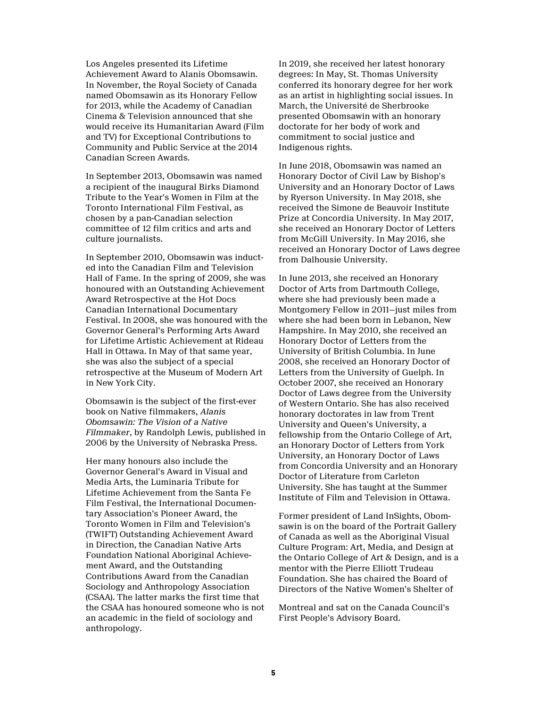Los Angeles presented its Lifetime Achievement Award to Alanis Obomsawin. In November, the Royal Society of Canada named Obomsawin as its Honorary Fellow for 2013, while the Academy of Canadian Cinema & Television announced that she would receive its Humanitarian Award (Film and TV) for Exceptional Contributions to Community and Public Service at the 2014 Canadian Screen Awards.

In September 2013, Obomsawin was named a recipient of the inaugural Birks Diamond Tribute to the Year's Women in Film at the Toronto International Film Festival, as chosen by a pan-Canadian selection committee of 12 film critics and arts and culture journalists.

In September 2010, Obomsawin was inducted into the Canadian Film and Television Hall of Fame. In the spring of 2009, she was honoured with an Outstanding Achievement Award Retrospective at the Hot Docs Canadian International Documentary Festival. In 2008, she was honoured with the Governor General's Performing Arts Award for Lifetime Artistic Achievement at Rideau Hall in Ottawa. In May of that same year, she was also the subject of a special retrospective at the Museum of Modern Art in New York City.

Obomsawin is the subject of the first-ever book on Native filmmakers, *Alanis Obomsawin: The Vision of a Native Filmmaker*, by Randolph Lewis, published in 2006 by the University of Nebraska Press.

Her many honours also include the Governor General's Award in Visual and Media Arts, the Luminaria Tribute for Lifetime Achievement from the Santa Fe Film Festival, the International Documentary Association's Pioneer Award, the Toronto Women in Film and Television's (TWIFT) Outstanding Achievement Award in Direction, the Canadian Native Arts Foundation National Aboriginal Achievement Award, and the Outstanding Contributions Award from the Canadian Sociology and Anthropology Association (CSAA). The latter marks the first time that the CSAA has honoured someone who is not an academic in the field of sociology and anthropology.

In 2019, she received her latest honorary degrees: In May, St. Thomas University conferred its honorary degree for her work as an artist in highlighting social issues. In March, the Université de Sherbrooke presented Obomsawin with an honorary doctorate for her body of work and commitment to social justice and Indigenous rights.

In June 2018, Obomsawin was named an Honorary Doctor of Civil Law by Bishop's University and an Honorary Doctor of Laws by Ryerson University. In May 2018, she received the Simone de Beauvoir Institute Prize at Concordia University. In May 2017, she received an Honorary Doctor of Letters from McGill University. In May 2016, she received an Honorary Doctor of Laws degree from Dalhousie University.

In June 2013, she received an Honorary Doctor of Arts from Dartmouth College, where she had previously been made a Montgomery Fellow in 2011—just miles from where she had been born in Lebanon, New Hampshire. In May 2010, she received an Honorary Doctor of Letters from the University of British Columbia. In June 2008, she received an Honorary Doctor of Letters from the University of Guelph. In October 2007, she received an Honorary Doctor of Laws degree from the University of Western Ontario. She has also received honorary doctorates in law from Trent University and Queen's University, a fellowship from the Ontario College of Art, an Honorary Doctor of Letters from York University, an Honorary Doctor of Laws from Concordia University and an Honorary Doctor of Literature from Carleton University. She has taught at the Summer Institute of Film and Television in Ottawa.

Former president of Land InSights, Obomsawin is on the board of the Portrait Gallery of Canada as well as the Aboriginal Visual Culture Program: Art, Media, and Design at the Ontario College of Art & Design, and is a mentor with the Pierre Elliott Trudeau Foundation. She has chaired the Board of Directors of the Native Women's Shelter of

Montreal and sat on the Canada Council's First People's Advisory Board.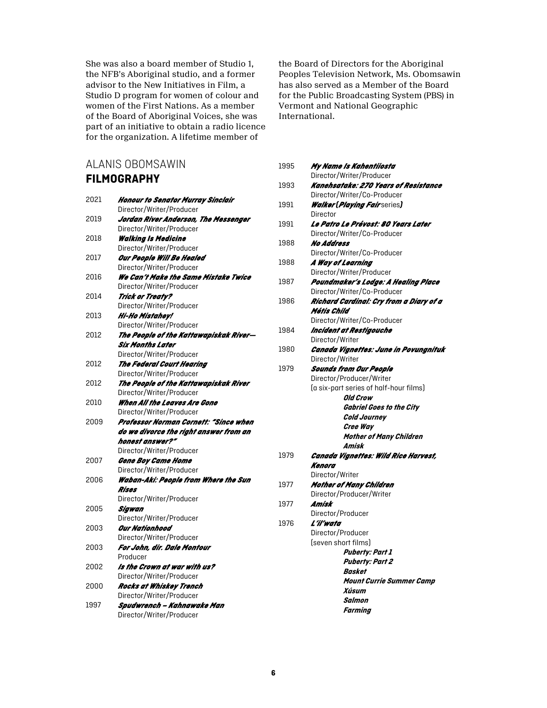She was also a board member of Studio 1, the NFB's Aboriginal studio, and a former advisor to the New Initiatives in Film, a Studio D program for women of colour and women of the First Nations. As a member of the Board of Aboriginal Voices, she was part of an initiative to obtain a radio licence for the organization. A lifetime member of

# ALANIS OBOMSAWIN **FILMOGRAPHY**

| 2021         | <b>Honour to Senator Murray Sinclair</b> |
|--------------|------------------------------------------|
|              | Director/Writer/Producer                 |
| 2019         | Jordan River Anderson, The Messenger     |
|              | Director/Writer/Producer                 |
| 2018         | <b>Walking Is Medicine</b>               |
|              | Director/Writer/Producer                 |
| 2017         | Our People Will Be Healed                |
|              | Director/Writer/Producer                 |
| 2016         | We Can't Make the Same Mistake Twice     |
|              | Director/Writer/Producer                 |
| 2014         | <b>Trick or Treaty?</b>                  |
|              | Director/Writer/Producer                 |
| 2013         | Hi-Ho Mistahey!                          |
|              | Director/Writer/Producer                 |
| 2012         | The People of the Kattawapiskak River-   |
|              | Six Months Later                         |
|              | Director/Writer/Producer                 |
| 2012         | The Federal Court Hearing                |
|              | Director/Writer/Producer                 |
| 2012         | The People of the Kattawapiskak River    |
|              | Director/Writer/Producer                 |
| 2010         | When All the Leaves Are Gone             |
|              | Director/Writer/Producer                 |
| 2009         | Professor Norman Cornett: "Since when    |
|              | do we divorce the right answer from an   |
|              | honest answer?"                          |
|              | Director/Writer/Producer                 |
| 2007         | Gene Boy Came Home                       |
|              | Director/Writer/Producer                 |
| 2006         | Waban-Aki: People from Where the Sun     |
|              | Rises                                    |
|              | Director/Writer/Producer                 |
| 2005         | Sigwan                                   |
|              | Director/Writer/Producer                 |
| 2003<br>2003 | Our Nationhood                           |
|              | Director/Writer/Producer                 |
|              | For John, dir. Dale Montour              |
|              | Producer                                 |
| 2002<br>2000 | Is the Crown at war with us?             |
|              | Director/Writer/Producer                 |
|              | Rocks at Whiskey Trench                  |
|              | Director/Writer/Producer                 |
| 1997         | Spudwrench – Kahnawake Man               |
|              | Director/Writer/Producer                 |

the Board of Directors for the Aboriginal Peoples Television Network, Ms. Obomsawin has also served as a Member of the Board for the Public Broadcasting System (PBS) in Vermont and National Geographic International.

| 1995 | My Name Is Kahentiiosta                                            |
|------|--------------------------------------------------------------------|
|      | Director/Writer/Producer                                           |
| 1993 | Kanehsatake: 270 Years of Resistance                               |
|      | Director/Writer/Co-Producer                                        |
| 1991 | Walker (Playing Fairseries)                                        |
|      | <b>Director</b>                                                    |
| 1991 | Le Patro Le Prévost: 80 Years Later                                |
|      | Director/Writer/Co-Producer                                        |
| 1988 | No Address                                                         |
|      | Director/Writer/Co-Producer                                        |
| 1988 | A Way of Learning                                                  |
|      | Director/Writer/Producer                                           |
| 1987 | Poundmaker's Lodge: A Healing Place<br>Director/Writer/Co-Producer |
| 1986 | Richard Cardinal: Cry from a Diary of a                            |
|      | Métis Child                                                        |
|      | Director/Writer/Co-Producer                                        |
| 1984 | Incident at Restigouche                                            |
|      | Director/Writer                                                    |
| 1980 | Canada Vignettes: June in Povungnituk                              |
|      | Director/Writer                                                    |
| 1979 | Sounds from Our People                                             |
|      | Director/Producer/Writer                                           |
|      | (a six-part series of half-hour films)                             |
|      | Old Crow                                                           |
|      | <b>Gabriel Goes to the City</b>                                    |
|      | Cold Journey                                                       |
|      | Cree Wav                                                           |
|      | <b>Mother of Many Children</b>                                     |
|      | Amisk                                                              |
| 1979 | Canada Vignettes: Wild Rice Harvest,                               |
|      | Kenora                                                             |
|      | Director/Writer                                                    |
| 1977 | Mother of Many Children                                            |
|      | Director/Producer/Writer<br>Amisk                                  |
| 1977 | Director/Producer                                                  |
| 1976 | L'il'wata                                                          |
|      | Director/Producer                                                  |
|      | (seven short films)                                                |
|      | <b>Puberty: Part 1</b>                                             |
|      | <b>Puberty: Part 2</b>                                             |
|      | <b>Basket</b>                                                      |
|      | <b>Mount Currie Summer Camp</b>                                    |
|      | Xúsum                                                              |
|      | Salmon                                                             |
|      | Farming                                                            |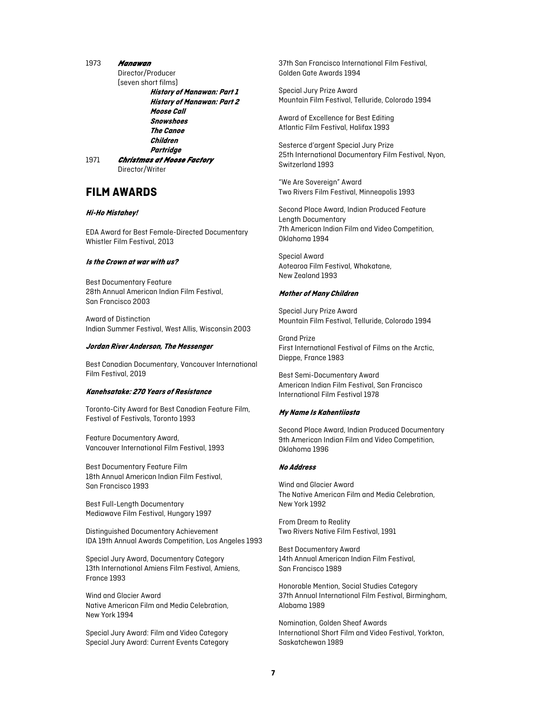#### 1973 *Manawan*

Director/Producer (seven short films)

**History of Manawan: Part 1 History of Manawan: Part 2 Moose Call Snowshoes The Canoe Children Partridge**

1971 *Christmas at Moose Factory*  Director/Writer

### **FILM AWARDS**

#### **Hi-Ho Mistahey!**

EDA Award for Best Female-Directed Documentary Whistler Film Festival, 2013

#### **Is the Crown at war with us?**

Best Documentary Feature 28th Annual American Indian Film Festival, San Francisco 2003

Award of Distinction Indian Summer Festival, West Allis, Wisconsin 2003

#### **Jordan River Anderson, The Messenger**

Best Canadian Documentary, Vancouver International Film Festival, 2019

#### **Kanehsatake: 270 Years of Resistance**

Toronto-City Award for Best Canadian Feature Film, Festival of Festivals, Toronto 1993

Feature Documentary Award, Vancouver International Film Festival, 1993

Best Documentary Feature Film 18th Annual American Indian Film Festival, San Francisco 1993

Best Full-Length Documentary Mediawave Film Festival, Hungary 1997

Distinguished Documentary Achievement IDA 19th Annual Awards Competition, Los Angeles 1993

Special Jury Award, Documentary Category 13th International Amiens Film Festival, Amiens, France 1993

Wind and Glacier Award Native American Film and Media Celebration, New York 1994

Special Jury Award: Film and Video Category Special Jury Award: Current Events Category 37th San Francisco International Film Festival, Golden Gate Awards 1994

Special Jury Prize Award Mountain Film Festival, Telluride, Colorado 1994

Award of Excellence for Best Editing Atlantic Film Festival, Halifax 1993

Sesterce d'argent Special Jury Prize 25th International Documentary Film Festival, Nyon, Switzerland 1993

"We Are Sovereign" Award Two Rivers Film Festival, Minneapolis 1993

Second Place Award, Indian Produced Feature Length Documentary 7th American Indian Film and Video Competition, Oklahoma 1994

Special Award Aotearoa Film Festival, Whakatane, New Zealand 1993

#### **Mother of Many Children**

Special Jury Prize Award Mountain Film Festival, Telluride, Colorado 1994

Grand Prize First International Festival of Films on the Arctic, Dieppe, France 1983

Best Semi-Documentary Award American Indian Film Festival, San Francisco International Film Festival 1978

#### **My Name Is Kahentiiosta**

Second Place Award, Indian Produced Documentary 9th American Indian Film and Video Competition, Oklahoma 1996

#### **No Address**

Wind and Glacier Award The Native American Film and Media Celebration, New York 1992

From Dream to Reality Two Rivers Native Film Festival, 1991

Best Documentary Award 14th Annual American Indian Film Festival, San Francisco 1989

Honorable Mention, Social Studies Category 37th Annual International Film Festival, Birmingham, Alabama 1989

Nomination, Golden Sheaf Awards International Short Film and Video Festival, Yorkton, Saskatchewan 1989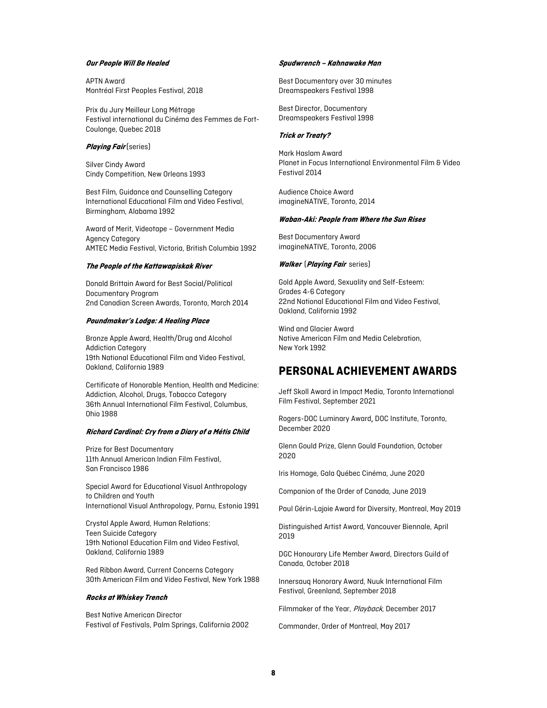#### **Our People Will Be Healed**

APTN Award Montréal First Peoples Festival, 2018

Prix du Jury Meilleur Long Métrage Festival international du Cinéma des Femmes de Fort-Coulonge, Quebec 2018

#### **Playing Fair** (series)

Silver Cindy Award Cindy Competition, New Orleans 1993

Best Film, Guidance and Counselling Category International Educational Film and Video Festival, Birmingham, Alabama 1992

Award of Merit, Videotape – Government Media Agency Category AMTEC Media Festival, Victoria, British Columbia 1992

#### **The People of the Kattawapiskak River**

Donald Brittain Award for Best Social/Political Documentary Program 2nd Canadian Screen Awards, Toronto, March 2014

#### **Poundmaker's Lodge: A Healing Place**

Bronze Apple Award, Health/Drug and Alcohol Addiction Category 19th National Educational Film and Video Festival, Oakland, California 1989

Certificate of Honorable Mention, Health and Medicine: Addiction, Alcohol, Drugs, Tobacco Category 36th Annual International Film Festival, Columbus, Ohio 1988

#### **Richard Cardinal: Cry from a Diary of a Métis Child**

Prize for Best Documentary 11th Annual American Indian Film Festival, San Francisco 1986

Special Award for Educational Visual Anthropology to Children and Youth International Visual Anthropology, Parnu, Estonia 1991

Crystal Apple Award, Human Relations: Teen Suicide Category 19th National Education Film and Video Festival, Oakland, California 1989

Red Ribbon Award, Current Concerns Category 30th American Film and Video Festival, New York 1988

#### **Rocks at Whiskey Trench**

Best Native American Director Festival of Festivals, Palm Springs, California 2002

#### **Spudwrench – Kahnawake Man**

Best Documentary over 30 minutes Dreamspeakers Festival 1998

Best Director, Documentary Dreamspeakers Festival 1998

#### **Trick or Treaty?**

Mark Haslam Award Planet in Focus International Environmental Film & Video Festival 2014

Audience Choice Award imagineNATIVE, Toronto, 2014

#### **Waban-Aki: People from Where the Sun Rises**

Best Documentary Award imagineNATIVE, Toronto, 2006

#### **Walker** (**Playing Fair** series)

Gold Apple Award, Sexuality and Self-Esteem: Grades 4-6 Category 22nd National Educational Film and Video Festival, Oakland, California 1992

Wind and Glacier Award Native American Film and Media Celebration, New York 1992

### **PERSONAL ACHIEVEMENT AWARDS**

Jeff Skoll Award in Impact Media, Toronto International Film Festival, September 2021

Rogers-DOC Luminary Award, DOC Institute, Toronto, December 2020

Glenn Gould Prize, Glenn Gould Foundation, October 2020

Iris Homage, Gala Québec Cinéma, June 2020

Companion of the Order of Canada, June 2019

Paul Gérin-Lajoie Award for Diversity, Montreal, May 2019

Distinguished Artist Award, Vancouver Biennale, April 2019

DGC Honourary Life Member Award, Directors Guild of Canada, October 2018

Innersauq Honorary Award, Nuuk International Film Festival, Greenland, September 2018

Filmmaker of the Year, Playback, December 2017

Commander, Order of Montreal, May 2017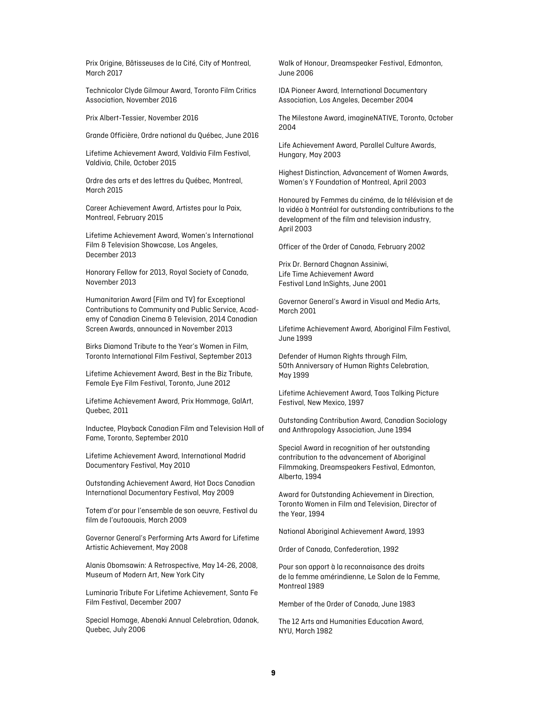Prix Origine, Bâtisseuses de la Cité, City of Montreal, March 2017

Technicolor Clyde Gilmour Award, Toronto Film Critics Association, November 2016

Prix Albert-Tessier, November 2016

Grande Officière, Ordre national du Québec, June 2016

Lifetime Achievement Award, Valdivia Film Festival, Valdivia, Chile, October 2015

Ordre des arts et des lettres du Québec, Montreal, March 2015

Career Achievement Award, Artistes pour la Paix, Montreal, February 2015

Lifetime Achievement Award, Women's International Film & Television Showcase, Los Angeles, December 2013

Honorary Fellow for 2013, Royal Society of Canada, November 2013

Humanitarian Award (Film and TV) for Exceptional Contributions to Community and Public Service, Academy of Canadian Cinema & Television, 2014 Canadian Screen Awards, announced in November 2013

Birks Diamond Tribute to the Year's Women in Film, Toronto International Film Festival, September 2013

Lifetime Achievement Award, Best in the Biz Tribute, Female Eye Film Festival, Toronto, June 2012

Lifetime Achievement Award, Prix Hommage, GalArt, Quebec, 2011

Inductee, Playback Canadian Film and Television Hall of Fame, Toronto, September 2010

Lifetime Achievement Award, International Madrid Documentary Festival, May 2010

Outstanding Achievement Award, Hot Docs Canadian International Documentary Festival, May 2009

Totem d'or pour l'ensemble de son oeuvre, Festival du film de l'outaouais, March 2009

Governor General's Performing Arts Award for Lifetime Artistic Achievement, May 2008

Alanis Obomsawin: A Retrospective, May 14-26, 2008, Museum of Modern Art, New York City

Luminaria Tribute For Lifetime Achievement, Santa Fe Film Festival, December 2007

Special Homage, Abenaki Annual Celebration, Odanak, Quebec, July 2006

Walk of Honour, Dreamspeaker Festival, Edmonton, June 2006

IDA Pioneer Award, International Documentary Association, Los Angeles, December 2004

The Milestone Award, imagineNATIVE, Toronto, October 2004

Life Achievement Award, Parallel Culture Awards, Hungary, May 2003

Highest Distinction, Advancement of Women Awards, Women's Y Foundation of Montreal, April 2003

Honoured by Femmes du cinéma, de la télévision et de la vidéo à Montréal for outstanding contributions to the development of the film and television industry, April 2003

Officer of the Order of Canada, February 2002

Prix Dr. Bernard Chagnan Assiniwi, Life Time Achievement Award Festival Land InSights, June 2001

Governor General's Award in Visual and Media Arts, March 2001

Lifetime Achievement Award, Aboriginal Film Festival, June 1999

Defender of Human Rights through Film, 50th Anniversary of Human Rights Celebration, May 1999

Lifetime Achievement Award, Taos Talking Picture Festival, New Mexico, 1997

Outstanding Contribution Award, Canadian Sociology and Anthropology Association, June 1994

Special Award in recognition of her outstanding contribution to the advancement of Aboriginal Filmmaking, Dreamspeakers Festival, Edmonton, Alberta, 1994

Award for Outstanding Achievement in Direction, Toronto Women in Film and Television, Director of the Year, 1994

National Aboriginal Achievement Award, 1993

Order of Canada, Confederation, 1992

Pour son apport à la reconnaisance des droits de la femme amérindienne, Le Salon de la Femme, Montreal 1989

Member of the Order of Canada, June 1983

The 12 Arts and Humanities Education Award, NYU, March 1982